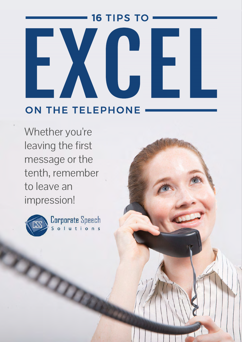## **16 TIPS TO** ON THE TELEPHONE

Whether you're leaving the first message or the tenth, remember to leave an impression!



RTO DE

Corporate Speech